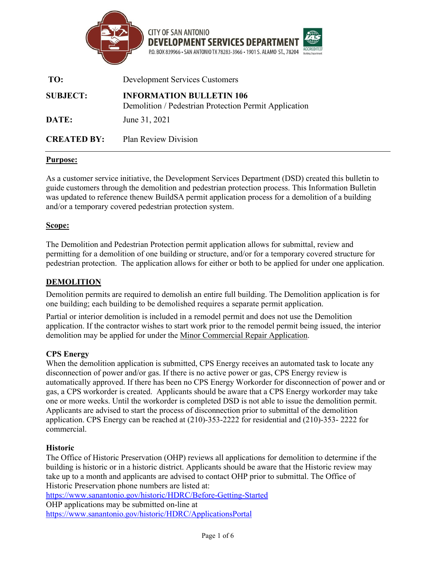

| TO:                | <b>Development Services Customers</b>                                                    |  |
|--------------------|------------------------------------------------------------------------------------------|--|
| <b>SUBJECT:</b>    | <b>INFORMATION BULLETIN 106</b><br>Demolition / Pedestrian Protection Permit Application |  |
| DATE:              | June 31, 2021                                                                            |  |
| <b>CREATED BY:</b> | <b>Plan Review Division</b>                                                              |  |

# **Purpose:**

As a customer service initiative, the Development Services Department (DSD) created this bulletin to guide customers through the demolition and pedestrian protection process. This Information Bulletin was updated to reference thenew BuildSA permit application process for a demolition of a building and/or a temporary covered pedestrian protection system.

## **Scope:**

The Demolition and Pedestrian Protection permit application allows for submittal, review and permitting for a demolition of one building or structure, and/or for a temporary covered structure for pedestrian protection. The application allows for either or both to be applied for under one application.

# **DEMOLITION**

Demolition permits are required to demolish an entire full building. The Demolition application is for one building; each building to be demolished requires a separate permit application.

Partial or interior demolition is included in a remodel permit and does not use the Demolition application. If the contractor wishes to start work prior to the remodel permit being issued, the interior demolition may be applied for under th[e Minor](http://docsonline.sanantonio.gov/FileUploads/dsd/CommercialMinorRepairsApplication.pdf) Commercial [Repair Application.](http://docsonline.sanantonio.gov/FileUploads/dsd/CommercialMinorRepairsApplication.pdf)

# **CPS Energy**

When the demolition application is submitted, CPS Energy receives an automated task to locate any disconnection of power and/or gas. If there is no active power or gas, CPS Energy review is automatically approved. If there has been no CPS Energy Workorder for disconnection of power and or gas, a CPS workorder is created. Applicants should be aware that a CPS Energy workorder may take one or more weeks. Until the workorder is completed DSD is not able to issue the demolition permit. Applicants are advised to start the process of disconnection prior to submittal of the demolition application. CPS Energy can be reached at (210)-353-2222 for residential and (210)-353- 2222 for commercial.

#### **Historic**

The Office of Historic Preservation (OHP) reviews all applications for demolition to determine if the building is historic or in a historic district. Applicants should be aware that the Historic review may take up to a month and applicants are advised to contact OHP prior to submittal. The Office of Historic Preservation phone numbers are listed at:

<https://www.sanantonio.gov/historic/HDRC/Before-Getting-Started>

OHP applications may be submitted on-line at <https://www.sanantonio.gov/historic/HDRC/ApplicationsPortal>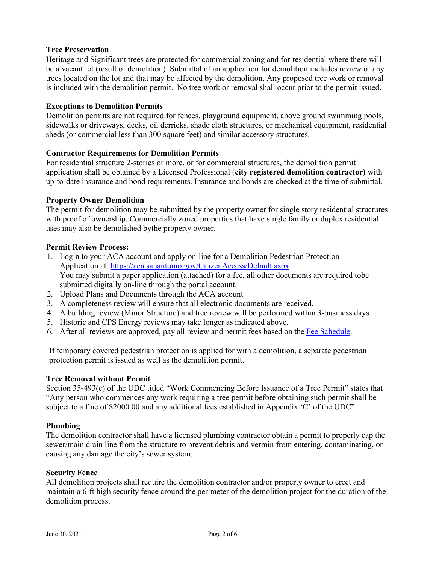# **Tree Preservation**

Heritage and Significant trees are protected for commercial zoning and for residential where there will be a vacant lot (result of demolition). Submittal of an application for demolition includes review of any trees located on the lot and that may be affected by the demolition. Any proposed tree work or removal is included with the demolition permit. No tree work or removal shall occur prior to the permit issued.

#### **Exceptions to Demolition Permits**

Demolition permits are not required for fences, playground equipment, above ground swimming pools, sidewalks or driveways, decks, oil derricks, shade cloth structures, or mechanical equipment, residential sheds (or commercial less than 300 square feet) and similar accessory structures.

## **Contractor Requirements for Demolition Permits**

For residential structure 2-stories or more, or for commercial structures, the demolition permit application shall be obtained by a Licensed Professional (**city registered demolition contractor)** with up-to-date insurance and bond requirements. Insurance and bonds are checked at the time of submittal.

## **Property Owner Demolition**

The permit for demolition may be submitted by the property owner for single story residential structures with proof of ownership. Commercially zoned properties that have single family or duplex residential uses may also be demolished bythe property owner.

## **Permit Review Process:**

- 1. Login to your ACA account and apply on-line for a Demolition Pedestrian Protection Application at: <https://aca.sanantonio.gov/CitizenAccess/Default.aspx> You may submit a paper application (attached) for a fee, all other documents are required tobe submitted digitally on-line through the portal account.
- 2. Upload Plans and Documents through the ACA account
- 3. A completeness review will ensure that all electronic documents are received.
- 4. A building review (Minor Structure) and tree review will be performed within 3-business days.
- 5. Historic and CPS Energy reviews may take longer as indicated above.
- 6. After all reviews are approved, pay all review and permit fees based on the Fee [Schedule.](https://www.sanantonio.gov/DSD/Online/Fee/Fee-Schedule)

If temporary covered pedestrian protection is applied for with a demolition, a separate pedestrian protection permit is issued as well as the demolition permit.

#### **Tree Removal without Permit**

Section 35-493(c) of the UDC titled "Work Commencing Before Issuance of a Tree Permit" states that "Any person who commences any work requiring a tree permit before obtaining such permit shall be subject to a fine of \$2000.00 and any additional fees established in Appendix 'C' of the UDC".

#### **Plumbing**

The demolition contractor shall have a licensed plumbing contractor obtain a permit to properly cap the sewer/main drain line from the structure to prevent debris and vermin from entering, contaminating, or causing any damage the city's sewer system.

#### **Security Fence**

All demolition projects shall require the demolition contractor and/or property owner to erect and maintain a 6-ft high security fence around the perimeter of the demolition project for the duration of the demolition process.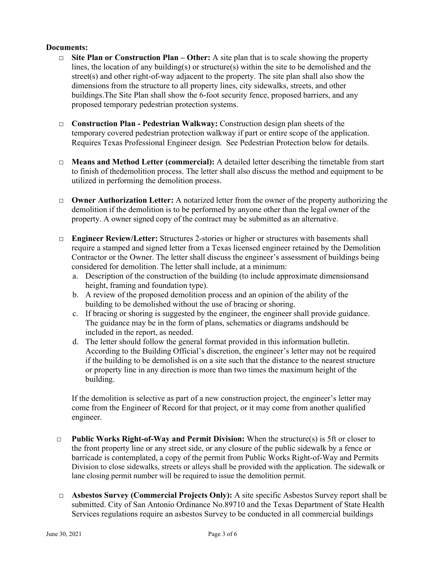#### **Documents:**

- □ **Site Plan or Construction Plan – Other:** A site plan that is to scale showing the property lines, the location of any building(s) or structure(s) within the site to be demolished and the street(s) and other right-of-way adjacent to the property. The site plan shall also show the dimensions from the structure to all property lines, city sidewalks, streets, and other buildings.The Site Plan shall show the 6-foot security fence, proposed barriers, and any proposed temporary pedestrian protection systems.
- □ **Construction Plan - Pedestrian Walkway:** Construction design plan sheets of the temporary covered pedestrian protection walkway if part or entire scope of the application. Requires Texas Professional Engineer design. See Pedestrian Protection below for details.
- □ **Means and Method Letter (commercial):** A detailed letter describing the timetable from start to finish of thedemolition process. The letter shall also discuss the method and equipment to be utilized in performing the demolition process.
- □ **Owner Authorization Letter:** A notarized letter from the owner of the property authorizing the demolition if the demolition is to be performed by anyone other than the legal owner of the property. A owner signed copy of the contract may be submitted as an alternative.
- □ **Engineer Review/Letter:** Structures 2-stories or higher or structures with basements shall require a stamped and signed letter from a Texas licensed engineer retained by the Demolition Contractor or the Owner. The letter shall discuss the engineer's assessment of buildings being considered for demolition. The letter shall include, at a minimum:
	- a. Description of the construction of the building (to include approximate dimensionsand height, framing and foundation type).
	- b. A review of the proposed demolition process and an opinion of the ability of the building to be demolished without the use of bracing or shoring.
	- c. If bracing or shoring is suggested by the engineer, the engineer shall provide guidance. The guidance may be in the form of plans, schematics or diagrams andshould be included in the report, as needed.
	- d. The letter should follow the general format provided in this information bulletin. According to the Building Official's discretion, the engineer's letter may not be required if the building to be demolished is on a site such that the distance to the nearest structure or property line in any direction is more than two times the maximum height of the building.

If the demolition is selective as part of a new construction project, the engineer's letter may come from the Engineer of Record for that project, or it may come from another qualified engineer.

- □ **Public Works Right-of-Way and Permit Division:** When the structure(s) is 5ft or closer to the front property line or any street side, or any closure of the public sidewalk by a fence or barricade is contemplated, a copy of the permit from Public Works Right-of-Way and Permits Division to close sidewalks, streets or alleys shall be provided with the application. The sidewalk or lane closing permit number will be required to issue the demolition permit.
- □ **Asbestos Survey (Commercial Projects Only):** A site specific Asbestos Survey report shall be submitted. City of San Antonio Ordinance No.89710 and the Texas Department of State Health Services regulations require an asbestos Survey to be conducted in all commercial buildings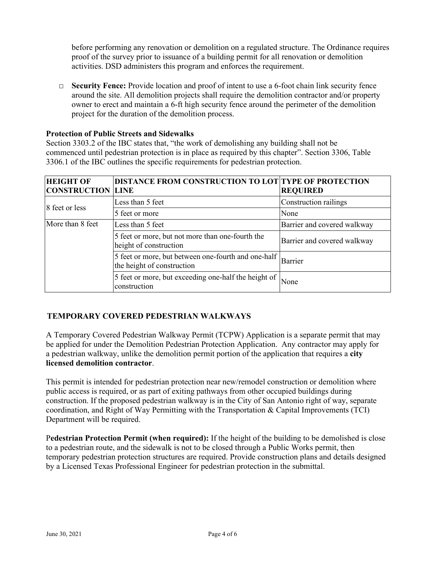before performing any renovation or demolition on a regulated structure. The Ordinance requires proof of the survey prior to issuance of a building permit for all renovation or demolition activities. DSD administers this program and enforces the requirement.

□ **Security Fence:** Provide location and proof of intent to use a 6-foot chain link security fence around the site. All demolition projects shall require the demolition contractor and/or property owner to erect and maintain a 6-ft high security fence around the perimeter of the demolition project for the duration of the demolition process.

#### **Protection of Public Streets and Sidewalks**

Section 3303.2 of the IBC states that, "the work of demolishing any building shall not be commenced until pedestrian protection is in place as required by this chapter". Section 3306, Table 3306.1 of the IBC outlines the specific requirements for pedestrian protection.

| <b>HEIGHT OF</b><br><b>CONSTRUCTION LINE</b> | DISTANCE FROM CONSTRUCTION TO LOT TYPE OF PROTECTION                                | <b>REQUIRED</b>             |
|----------------------------------------------|-------------------------------------------------------------------------------------|-----------------------------|
| 8 feet or less                               | Less than 5 feet                                                                    | Construction railings       |
|                                              | 5 feet or more                                                                      | None                        |
| More than 8 feet                             | Less than 5 feet                                                                    | Barrier and covered walkway |
|                                              | 5 feet or more, but not more than one-fourth the<br>height of construction          | Barrier and covered walkway |
|                                              | 5 feet or more, but between one-fourth and one-half  <br>the height of construction | Barrier                     |
|                                              | 5 feet or more, but exceeding one-half the height of  <br>construction              | None                        |

# **TEMPORARY COVERED PEDESTRIAN WALKWAYS**

A Temporary Covered Pedestrian Walkway Permit (TCPW) Application is a separate permit that may be applied for under the Demolition Pedestrian Protection Application. Any contractor may apply for a pedestrian walkway, unlike the demolition permit portion of the application that requires a **city licensed demolition contractor**.

This permit is intended for pedestrian protection near new/remodel construction or demolition where public access is required, or as part of exiting pathways from other occupied buildings during construction. If the proposed pedestrian walkway is in the City of San Antonio right of way, separate coordination, and Right of Way Permitting with the Transportation & Capital Improvements (TCI) Department will be required.

P**edestrian Protection Permit (when required):** If the height of the building to be demolished is close to a pedestrian route, and the sidewalk is not to be closed through a Public Works permit, then temporary pedestrian protection structures are required. Provide construction plans and details designed by a Licensed Texas Professional Engineer for pedestrian protection in the submittal.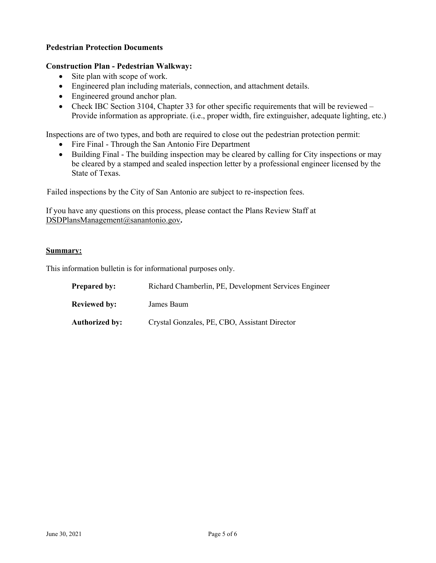## **Pedestrian Protection Documents**

#### **Construction Plan - Pedestrian Walkway:**

- Site plan with scope of work.
- Engineered plan including materials, connection, and attachment details.
- Engineered ground anchor plan.
- Check IBC Section 3104, Chapter 33 for other specific requirements that will be reviewed Provide information as appropriate. (i.e., proper width, fire extinguisher, adequate lighting, etc.)

Inspections are of two types, and both are required to close out the pedestrian protection permit:

- Fire Final Through the San Antonio Fire Department
- Building Final The building inspection may be cleared by calling for City inspections or may be cleared by a stamped and sealed inspection letter by a professional engineer licensed by the State of Texas.

Failed inspections by the City of San Antonio are subject to re-inspection fees.

If you have any questions on this process, please contact the Plans Review Staff at [DSDPlansManagement@sanantonio.gov](mailto:DSDPlansManagement@sanantonio.gov)**.**

#### **Summary:**

This information bulletin is for informational purposes only.

| <b>Prepared by:</b>   | Richard Chamberlin, PE, Development Services Engineer |
|-----------------------|-------------------------------------------------------|
| <b>Reviewed by:</b>   | James Baum                                            |
| <b>Authorized by:</b> | Crystal Gonzales, PE, CBO, Assistant Director         |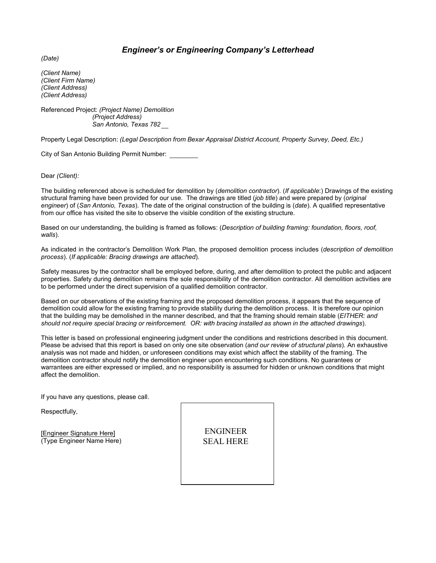# *Engineer's or Engineering Company's Letterhead*

*(Date)*

*(Client Name) (Client Firm Name) (Client Address) (Client Address)*

Referenced Project: *(Project Name) Demolition (Project Address) San Antonio, Texas 782*

Property Legal Description: *(Legal Description from Bexar Appraisal District Account, Property Survey, Deed, Etc.)*

City of San Antonio Building Permit Number:

Dear *(Client):*

The building referenced above is scheduled for demolition by (*demolition contractor*). (*If applicable*:) Drawings of the existing structural framing have been provided for our use. The drawings are titled (*job title*) and were prepared by (*original engineer*) of (*San Antonio, Texas*). The date of the original construction of the building is (*date*). A qualified representative from our office has visited the site to observe the visible condition of the existing structure.

Based on our understanding, the building is framed as follows: (*Description of building framing: foundation, floors, roof, walls*).

As indicated in the contractor's Demolition Work Plan, the proposed demolition process includes (*description of demolition process*). (*If applicable: Bracing drawings are attached*).

Safety measures by the contractor shall be employed before, during, and after demolition to protect the public and adjacent properties. Safety during demolition remains the sole responsibility of the demolition contractor. All demolition activities are to be performed under the direct supervision of a qualified demolition contractor.

Based on our observations of the existing framing and the proposed demolition process, it appears that the sequence of demolition could allow for the existing framing to provide stability during the demolition process. It is therefore our opinion that the building may be demolished in the manner described, and that the framing should remain stable (*EITHER: and* should not require special bracing or reinforcement. OR: with bracing installed as shown in the attached drawings).

This letter is based on professional engineering judgment under the conditions and restrictions described in this document. Please be advised that this report is based on only one site observation (*and our review of structural plans*). An exhaustive analysis was not made and hidden, or unforeseen conditions may exist which affect the stability of the framing. The demolition contractor should notify the demolition engineer upon encountering such conditions. No guarantees or warrantees are either expressed or implied, and no responsibility is assumed for hidden or unknown conditions that might affect the demolition.

If you have any questions, please call.

Respectfully,

[Engineer Signature Here] (Type Engineer Name Here)

ENGINEER SEAL HERE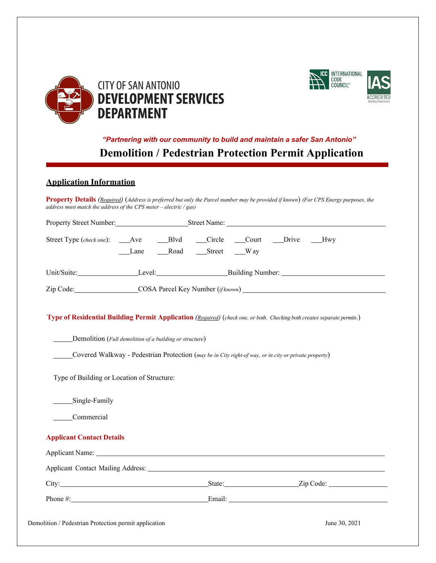



# *"Partnering with our community to build and maintain a safer San Antonio"* **Demolition / Pedestrian Protection Permit Application**

# **Application Information**

**Property Details** *(Required)* (*Address is preferred but only the Parcel number may be provided if known*) *(For CPS Energy purposes, the address must match the address of the CPS meter – electric / gas)*

| Property Street Number: Street Name: Street Name: Name: Name: Name: Name: Name: Name: Name: Name: Name: Name: Name: Name: Name: Name: Name: Name: Name: Name: Name: Name: Name: Name: Name: Name: Name: Name: Name: Name: Name                                                                                                             |                      |  |  |               |
|--------------------------------------------------------------------------------------------------------------------------------------------------------------------------------------------------------------------------------------------------------------------------------------------------------------------------------------------|----------------------|--|--|---------------|
|                                                                                                                                                                                                                                                                                                                                            | Lane Road Street Way |  |  |               |
|                                                                                                                                                                                                                                                                                                                                            |                      |  |  |               |
|                                                                                                                                                                                                                                                                                                                                            |                      |  |  |               |
| Type of Residential Building Permit Application (Required) (check one, or both. Checking both creates separate permits.)<br>Demolition (Full demolition of a building or structure)<br>Covered Walkway - Pedestrian Protection (may be in City right-of way, or in city or private property)<br>Type of Building or Location of Structure: |                      |  |  |               |
| Single-Family<br>Commercial                                                                                                                                                                                                                                                                                                                |                      |  |  |               |
| <b>Applicant Contact Details</b>                                                                                                                                                                                                                                                                                                           |                      |  |  |               |
|                                                                                                                                                                                                                                                                                                                                            |                      |  |  |               |
| Applicant Contact Mailing Address: No. 1996. The Contract Only 1996. The Contract Only 1996. The Contract Only 1996.                                                                                                                                                                                                                       |                      |  |  |               |
| City: State: State: Zip Code:                                                                                                                                                                                                                                                                                                              |                      |  |  |               |
|                                                                                                                                                                                                                                                                                                                                            |                      |  |  |               |
| Demolition / Pedestrian Protection permit application                                                                                                                                                                                                                                                                                      |                      |  |  | June 30, 2021 |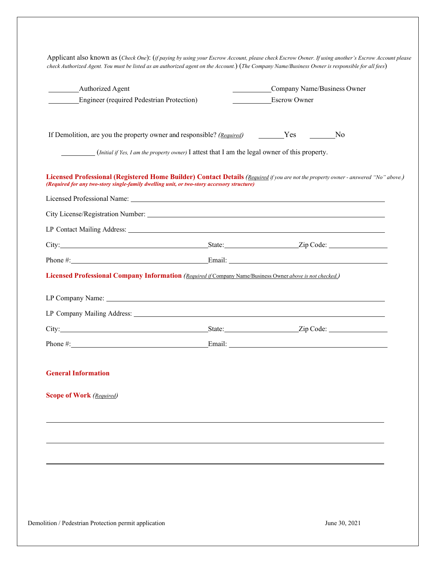| <b>Engineer</b> (required Pedestrian Protection)<br><b>Escrow Owner</b><br>If Demolition, are you the property owner and responsible? (Required) _________Yes _________No<br>(Initial if Yes, I am the property owner) I attest that I am the legal owner of this property.<br>Licensed Professional (Registered Home Builder) Contact Details (Required if you are not the property owner - answered "No" above.)<br>(Required for any two-story single-family dwelling unit, or two-story accessory structure)<br>Licensed Professional Company Information (Required if Company Name/Business Owner above is not checked.)<br>LP Company Mailing Address: North American Company Mailing Address:<br><b>General Information</b><br><b>Scope of Work (Required)</b> | Authorized Agent | Company Name/Business Owner |  |
|-----------------------------------------------------------------------------------------------------------------------------------------------------------------------------------------------------------------------------------------------------------------------------------------------------------------------------------------------------------------------------------------------------------------------------------------------------------------------------------------------------------------------------------------------------------------------------------------------------------------------------------------------------------------------------------------------------------------------------------------------------------------------|------------------|-----------------------------|--|
|                                                                                                                                                                                                                                                                                                                                                                                                                                                                                                                                                                                                                                                                                                                                                                       |                  |                             |  |
|                                                                                                                                                                                                                                                                                                                                                                                                                                                                                                                                                                                                                                                                                                                                                                       |                  |                             |  |
|                                                                                                                                                                                                                                                                                                                                                                                                                                                                                                                                                                                                                                                                                                                                                                       |                  |                             |  |
|                                                                                                                                                                                                                                                                                                                                                                                                                                                                                                                                                                                                                                                                                                                                                                       |                  |                             |  |
|                                                                                                                                                                                                                                                                                                                                                                                                                                                                                                                                                                                                                                                                                                                                                                       |                  |                             |  |
|                                                                                                                                                                                                                                                                                                                                                                                                                                                                                                                                                                                                                                                                                                                                                                       |                  |                             |  |
|                                                                                                                                                                                                                                                                                                                                                                                                                                                                                                                                                                                                                                                                                                                                                                       |                  |                             |  |
|                                                                                                                                                                                                                                                                                                                                                                                                                                                                                                                                                                                                                                                                                                                                                                       |                  |                             |  |
|                                                                                                                                                                                                                                                                                                                                                                                                                                                                                                                                                                                                                                                                                                                                                                       |                  |                             |  |
|                                                                                                                                                                                                                                                                                                                                                                                                                                                                                                                                                                                                                                                                                                                                                                       |                  |                             |  |
|                                                                                                                                                                                                                                                                                                                                                                                                                                                                                                                                                                                                                                                                                                                                                                       |                  |                             |  |
|                                                                                                                                                                                                                                                                                                                                                                                                                                                                                                                                                                                                                                                                                                                                                                       |                  |                             |  |
|                                                                                                                                                                                                                                                                                                                                                                                                                                                                                                                                                                                                                                                                                                                                                                       |                  |                             |  |
|                                                                                                                                                                                                                                                                                                                                                                                                                                                                                                                                                                                                                                                                                                                                                                       |                  |                             |  |
|                                                                                                                                                                                                                                                                                                                                                                                                                                                                                                                                                                                                                                                                                                                                                                       |                  |                             |  |
|                                                                                                                                                                                                                                                                                                                                                                                                                                                                                                                                                                                                                                                                                                                                                                       |                  |                             |  |
|                                                                                                                                                                                                                                                                                                                                                                                                                                                                                                                                                                                                                                                                                                                                                                       |                  |                             |  |
|                                                                                                                                                                                                                                                                                                                                                                                                                                                                                                                                                                                                                                                                                                                                                                       |                  |                             |  |

Demolition / Pedestrian Protection permit application June 30, 2021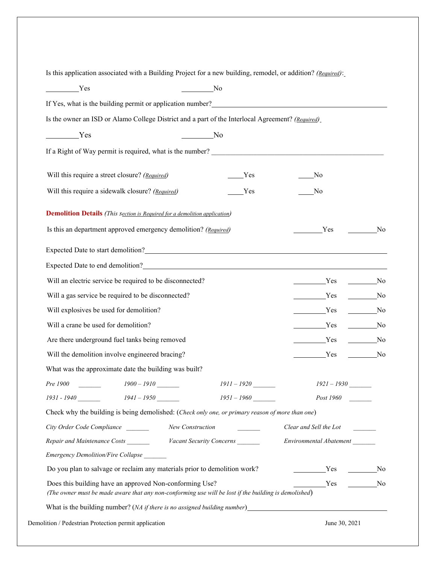Is this application associated with a Building Project for a new building, remodel, or addition? *(Required)*:

| Yes                                                                                                                                                              | No            |                             |                         |
|------------------------------------------------------------------------------------------------------------------------------------------------------------------|---------------|-----------------------------|-------------------------|
|                                                                                                                                                                  |               |                             |                         |
| Is the owner an ISD or Alamo College District and a part of the Interlocal Agreement? (Required)                                                                 |               |                             |                         |
| <u>Yes</u>                                                                                                                                                       | No.           |                             |                         |
| If a Right of Way permit is required, what is the number?                                                                                                        |               |                             |                         |
| Will this require a street closure? (Required)                                                                                                                   | Yes           | No                          |                         |
| Will this require a sidewalk closure? (Required)                                                                                                                 | Yes           | No                          |                         |
| <b>Demolition Details</b> (This section is Required for a demolition application)                                                                                |               |                             |                         |
| Is this an department approved emergency demolition? (Required)<br>Yes                                                                                           |               |                             | No                      |
| Expected Date to start demolition?                                                                                                                               |               |                             |                         |
|                                                                                                                                                                  |               |                             |                         |
| Will an electric service be required to be disconnected?<br><u>Yes</u><br>N <sub>0</sub>                                                                         |               |                             |                         |
| Will a gas service be required to be disconnected?                                                                                                               | Yes           | N <sub>0</sub>              |                         |
| Will explosives be used for demolition?                                                                                                                          | <u>Yes</u>    | No.                         |                         |
| Will a crane be used for demolition?                                                                                                                             | Yes           | $\overline{\phantom{a}}$ No |                         |
| Are there underground fuel tanks being removed                                                                                                                   |               | <u>Yes</u>                  | $\rule{1em}{0.15mm}$ No |
| Will the demolition involve engineered bracing?<br>Yes                                                                                                           |               |                             | No.                     |
| What was the approximate date the building was built?                                                                                                            |               |                             |                         |
| Pre 1900<br>$1900 - 1910$                                                                                                                                        | $1911 - 1920$ | $1921 - 1930$               |                         |
| 1931 - 1940<br>$1941 - 1950$                                                                                                                                     | $1951 - 1960$ | Post 1960                   |                         |
| Check why the building is being demolished: (Check only one, or primary reason of more than one)                                                                 |               |                             |                         |
| City Order Code Compliance<br>New Construction                                                                                                                   |               | Clear and Sell the Lot      |                         |
| Repair and Maintenance Costs Vacant Security Concerns                                                                                                            |               | Environmental Abatement     |                         |
| Emergency Demolition/Fire Collapse                                                                                                                               |               |                             |                         |
| Do you plan to salvage or reclaim any materials prior to demolition work?<br>Ves No                                                                              |               |                             |                         |
| Does this building have an approved Non-conforming Use?<br>(The owner must be made aware that any non-conforming use will be lost if the building is demolished) |               | No Nesternal Contract No.   |                         |
|                                                                                                                                                                  |               |                             |                         |
| Demolition / Pedestrian Protection permit application                                                                                                            |               | June 30, 2021               |                         |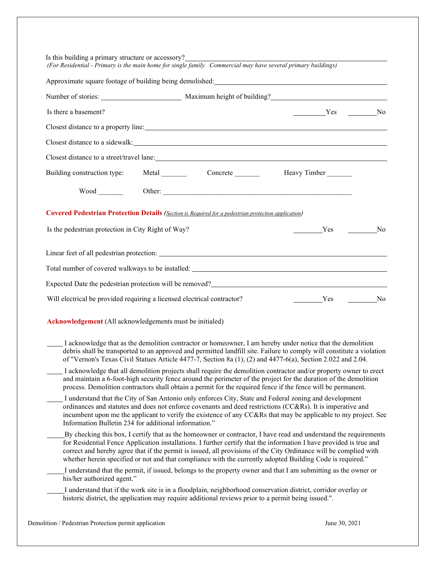| Is there a basement?                                                                                |  | No Nesternal No                                                                                                                                                                                                                                                                                                                                                                                                                                                            |  |
|-----------------------------------------------------------------------------------------------------|--|----------------------------------------------------------------------------------------------------------------------------------------------------------------------------------------------------------------------------------------------------------------------------------------------------------------------------------------------------------------------------------------------------------------------------------------------------------------------------|--|
|                                                                                                     |  | Closest distance to a property line:                                                                                                                                                                                                                                                                                                                                                                                                                                       |  |
|                                                                                                     |  | Closest distance to a sidewalk: North Management of the set of the set of the set of the set of the set of the set of the set of the set of the set of the set of the set of the set of the set of the set of the set of the s                                                                                                                                                                                                                                             |  |
|                                                                                                     |  | Closest distance to a street/travel lane: 1000 minutes and the state of the state of the state of the state of the state of the state of the state of the state of the state of the state of the state of the state of the sta                                                                                                                                                                                                                                             |  |
|                                                                                                     |  | Building construction type: Metal Concrete Heavy Timber                                                                                                                                                                                                                                                                                                                                                                                                                    |  |
|                                                                                                     |  |                                                                                                                                                                                                                                                                                                                                                                                                                                                                            |  |
| Covered Pedestrian Protection Details (Section is Required for a pedestrian protection application) |  |                                                                                                                                                                                                                                                                                                                                                                                                                                                                            |  |
| Is the pedestrian protection in City Right of Way?                                                  |  | Ves No                                                                                                                                                                                                                                                                                                                                                                                                                                                                     |  |
|                                                                                                     |  |                                                                                                                                                                                                                                                                                                                                                                                                                                                                            |  |
|                                                                                                     |  |                                                                                                                                                                                                                                                                                                                                                                                                                                                                            |  |
|                                                                                                     |  |                                                                                                                                                                                                                                                                                                                                                                                                                                                                            |  |
|                                                                                                     |  | Expected Date the pedestrian protection will be removed?<br><u>Letter and the pedestrian protection will be removed?</u>                                                                                                                                                                                                                                                                                                                                                   |  |
| Will electrical be provided requiring a licensed electrical contractor?                             |  | Ves No                                                                                                                                                                                                                                                                                                                                                                                                                                                                     |  |
| Acknowledgement (All acknowledgements must be initialed)                                            |  |                                                                                                                                                                                                                                                                                                                                                                                                                                                                            |  |
|                                                                                                     |  | I acknowledge that as the demolition contractor or homeowner, I am hereby under notice that the demolition                                                                                                                                                                                                                                                                                                                                                                 |  |
|                                                                                                     |  | debris shall be transported to an approved and permitted landfill site. Failure to comply will constitute a violation<br>of "Vernon's Texas Civil Statues Article 4477-7, Section 8a (1), (2) and 4477-6(a), Section 2.022 and 2.04.                                                                                                                                                                                                                                       |  |
|                                                                                                     |  | I acknowledge that all demolition projects shall require the demolition contractor and/or property owner to erect<br>and maintain a 6-foot-high security fence around the perimeter of the project for the duration of the demolition<br>process. Demolition contractors shall obtain a permit for the required fence if the fence will be permanent.                                                                                                                      |  |
| Information Bulletin 234 for additional information."                                               |  | I understand that the City of San Antonio only enforces City, State and Federal zoning and development<br>ordinances and statutes and does not enforce covenants and deed restrictions (CC&Rs). It is imperative and<br>incumbent upon me the applicant to verify the existence of any CC&Rs that may be applicable to my project. See                                                                                                                                     |  |
|                                                                                                     |  | By checking this box, I certify that as the homeowner or contractor, I have read and understand the requirements<br>for Residential Fence Application installations. I further certify that the information I have provided is true and<br>correct and hereby agree that if the permit is issued, all provisions of the City Ordinance will be complied with<br>whether herein specified or not and that compliance with the currently adopted Building Code is required." |  |
| his/her authorized agent."                                                                          |  | I understand that the permit, if issued, belongs to the property owner and that I am submitting as the owner or                                                                                                                                                                                                                                                                                                                                                            |  |